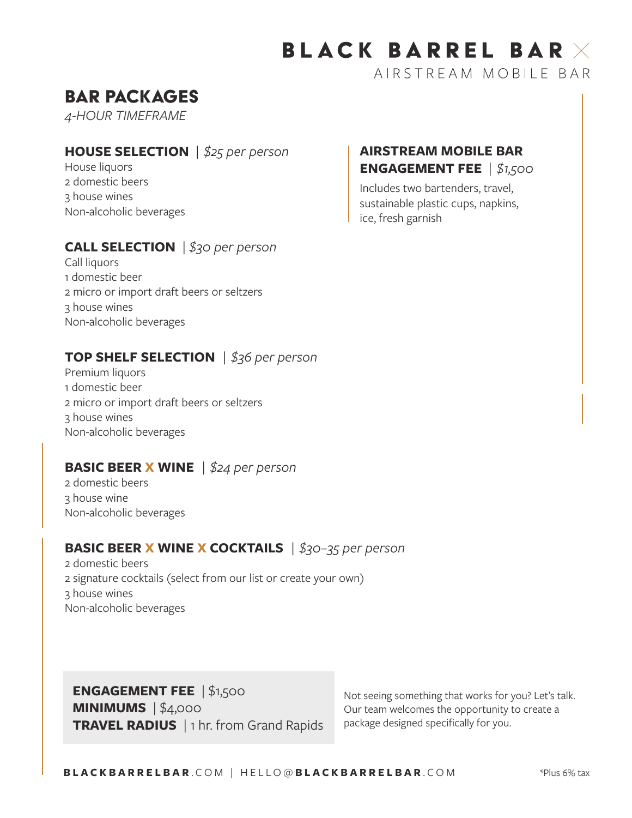# BLACK BARREL BAR  $\times$

AIRSTREAM MOBILE BAR

# BAR PACKAGES

*4-HOUR TIMEFRAME* 

# **HOUSE SELECTION** *| \$25 per person*

House liquors 2 domestic beers 3 house wines Non-alcoholic beverages

# **CALL SELECTION** | *\$30 per person*

Call liquors 1 domestic beer 2 micro or import draft beers or seltzers 3 house wines Non-alcoholic beverages

# **TOP SHELF SELECTION** *| \$36 per person*

Premium liquors 1 domestic beer 2 micro or import draft beers or seltzers 3 house wines Non-alcoholic beverages

### **BASIC BEER X WINE** *| \$24 per person*

2 domestic beers 3 house wine Non-alcoholic beverages

# **BASIC BEER X WINE X COCKTAILS** *| \$30–35 per person*

2 domestic beers 2 signature cocktails (select from our list or create your own) 3 house wines Non-alcoholic beverages

**ENGAGEMENT FEE** | \$1,500 **MINIMUMS** | \$4,000 **TRAVEL RADIUS** | 1 hr. from Grand Rapids

Not seeing something that works for you? Let's talk. Our team welcomes the opportunity to create a package designed specifically for you.

# **AIRSTREAM MOBILE BAR ENGAGEMENT FEE** *| \$1,500*

Includes two bartenders, travel, sustainable plastic cups, napkins, ice, fresh garnish